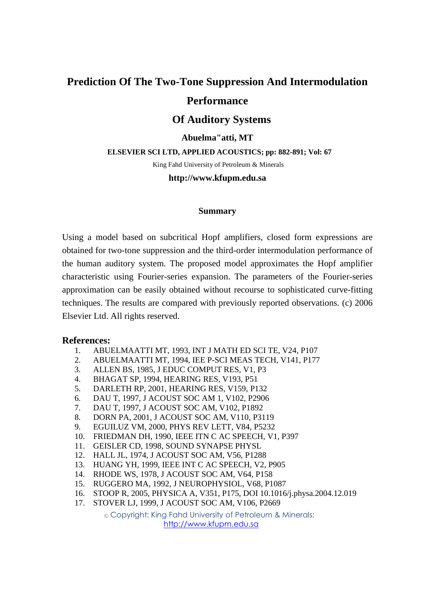## **Prediction Of The Two-Tone Suppression And Intermodulation Performance**

# **Of Auditory Systems**

## **Abuelma"atti, MT**

#### **ELSEVIER SCI LTD, APPLIED ACOUSTICS; pp: 882-891; Vol: 67**

King Fahd University of Petroleum & Minerals

#### **http://www.kfupm.edu.sa**

#### **Summary**

Using a model based on subcritical Hopf amplifiers, closed form expressions are obtained for two-tone suppression and the third-order intermodulation performance of the human auditory system. The proposed model approximates the Hopf amplifier characteristic using Fourier-series expansion. The parameters of the Fourier-series approximation can be easily obtained without recourse to sophisticated curve-fitting techniques. The results are compared with previously reported observations. (c) 2006 Elsevier Ltd. All rights reserved.

### **References:**

- 1. ABUELMAATTI MT, 1993, INT J MATH ED SCI TE, V24, P107
- 2. ABUELMAATTI MT, 1994, IEE P-SCI MEAS TECH, V141, P177
- 3. ALLEN BS, 1985, J EDUC COMPUT RES, V1, P3
- 4. BHAGAT SP, 1994, HEARING RES, V193, P51
- 5. DARLETH RP, 2001, HEARING RES, V159, P132
- 6. DAU T, 1997, J ACOUST SOC AM 1, V102, P2906
- 7. DAU T, 1997, J ACOUST SOC AM, V102, P1892
- 8. DORN PA, 2001, J ACOUST SOC AM, V110, P3119
- 9. EGUILUZ VM, 2000, PHYS REV LETT, V84, P5232
- 10. FRIEDMAN DH, 1990, IEEE ITN C AC SPEECH, V1, P397
- 11. GEISLER CD, 1998, SOUND SYNAPSE PHYSL
- 12. HALL JL, 1974, J ACOUST SOC AM, V56, P1288
- 13. HUANG YH, 1999, IEEE INT C AC SPEECH, V2, P905
- 14. RHODE WS, 1978, J ACOUST SOC AM, V64, P158
- 15. RUGGERO MA, 1992, J NEUROPHYSIOL, V68, P1087
- 16. STOOP R, 2005, PHYSICA A, V351, P175, DOI 10.1016/j.physa.2004.12.019
- 17. STOVER LJ, 1999, J ACOUST SOC AM, V106, P2669

© Copyright: King Fahd University of Petroleum & Minerals; http://www.kfupm.edu.sa